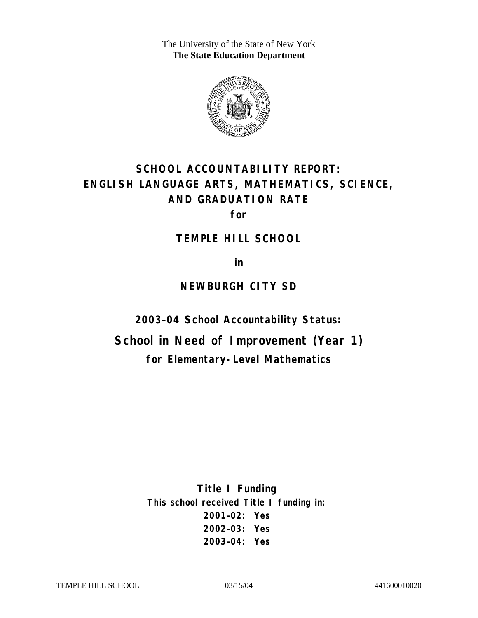The University of the State of New York **The State Education Department** 



# **SCHOOL ACCOUNTABILITY REPORT: ENGLISH LANGUAGE ARTS, MATHEMATICS, SCIENCE, AND GRADUATION RATE**

**for** 

**TEMPLE HILL SCHOOL** 

**in** 

### **NEWBURGH CITY SD**

**2003–04 School Accountability Status:** 

**School in Need of Improvement (Year 1) for Elementary-Level Mathematics**

> **Title I Funding This school received Title I funding in: 2001–02: Yes 2002–03: Yes 2003–04: Yes**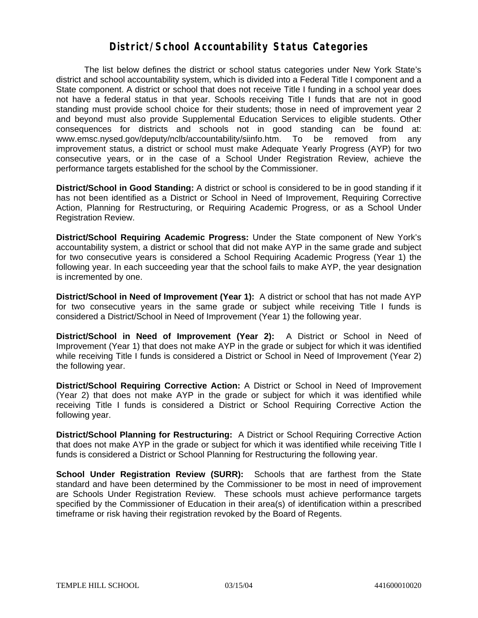### **District/School Accountability Status Categories**

The list below defines the district or school status categories under New York State's district and school accountability system, which is divided into a Federal Title I component and a State component. A district or school that does not receive Title I funding in a school year does not have a federal status in that year. Schools receiving Title I funds that are not in good standing must provide school choice for their students; those in need of improvement year 2 and beyond must also provide Supplemental Education Services to eligible students. Other consequences for districts and schools not in good standing can be found at: www.emsc.nysed.gov/deputy/nclb/accountability/siinfo.htm. To be removed from any improvement status, a district or school must make Adequate Yearly Progress (AYP) for two consecutive years, or in the case of a School Under Registration Review, achieve the performance targets established for the school by the Commissioner.

**District/School in Good Standing:** A district or school is considered to be in good standing if it has not been identified as a District or School in Need of Improvement, Requiring Corrective Action, Planning for Restructuring, or Requiring Academic Progress, or as a School Under Registration Review.

**District/School Requiring Academic Progress:** Under the State component of New York's accountability system, a district or school that did not make AYP in the same grade and subject for two consecutive years is considered a School Requiring Academic Progress (Year 1) the following year. In each succeeding year that the school fails to make AYP, the year designation is incremented by one.

**District/School in Need of Improvement (Year 1):** A district or school that has not made AYP for two consecutive years in the same grade or subject while receiving Title I funds is considered a District/School in Need of Improvement (Year 1) the following year.

**District/School in Need of Improvement (Year 2):** A District or School in Need of Improvement (Year 1) that does not make AYP in the grade or subject for which it was identified while receiving Title I funds is considered a District or School in Need of Improvement (Year 2) the following year.

**District/School Requiring Corrective Action:** A District or School in Need of Improvement (Year 2) that does not make AYP in the grade or subject for which it was identified while receiving Title I funds is considered a District or School Requiring Corrective Action the following year.

**District/School Planning for Restructuring:** A District or School Requiring Corrective Action that does not make AYP in the grade or subject for which it was identified while receiving Title I funds is considered a District or School Planning for Restructuring the following year.

**School Under Registration Review (SURR):** Schools that are farthest from the State standard and have been determined by the Commissioner to be most in need of improvement are Schools Under Registration Review. These schools must achieve performance targets specified by the Commissioner of Education in their area(s) of identification within a prescribed timeframe or risk having their registration revoked by the Board of Regents.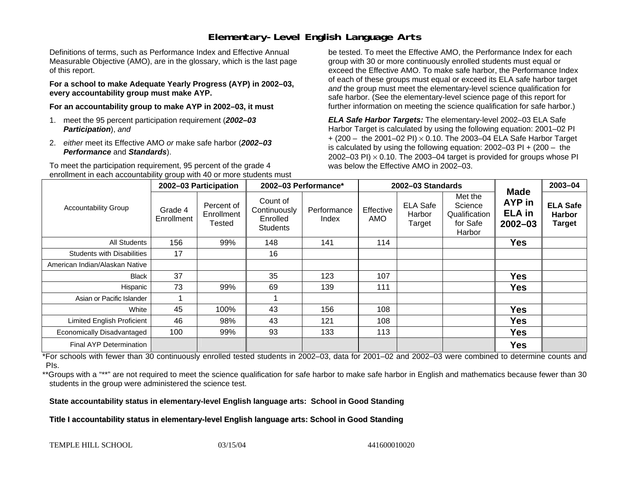# **Elementary-Level English Language Arts**

Definitions of terms, such as Performance Index and Effective Annual Measurable Objective (AMO), are in the glossary, which is the last page of this report.

**For a school to make Adequate Yearly Progress (AYP) in 2002–03, every accountability group must make AYP.** 

**For an accountability group to make AYP in 2002–03, it must** 

- 1. meet the 95 percent participation requirement (*2002–03 Participation*), *and*
- 2. *either* meet its Effective AMO *or* make safe harbor (*2002–03 Performance* and *Standards*).

To meet the participation requirement, 95 percent of the grade 4 enrollment in each accountability group with 40 or more students must

be tested. To meet the Effective AMO, the Performance Index for each group with 30 or more continuously enrolled students must equal or exceed the Effective AMO. To make safe harbor, the Performance Index of each of these groups must equal or exceed its ELA safe harbor target *and* the group must meet the elementary-level science qualification for safe harbor. (See the elementary-level science page of this report for further information on meeting the science qualification for safe harbor.)

*ELA Safe Harbor Targets:* The elementary-level 2002–03 ELA Safe Harbor Target is calculated by using the following equation: 2001–02 PI + (200 – the 2001–02 PI) <sup>×</sup> 0.10. The 2003–04 ELA Safe Harbor Target is calculated by using the following equation: 2002–03 PI + (200 – the 2002–03 PI)  $\times$  0.10. The 2003–04 target is provided for groups whose PI was below the Effective AMO in 2002–03.

| <b>Accountability Group</b>       | 2002-03 Participation |                                    | 2002-03 Performance*                                    |                      | 2002-03 Standards |                                     |                                                           |                                                       | 2003-04                                           |
|-----------------------------------|-----------------------|------------------------------------|---------------------------------------------------------|----------------------|-------------------|-------------------------------------|-----------------------------------------------------------|-------------------------------------------------------|---------------------------------------------------|
|                                   | Grade 4<br>Enrollment | Percent of<br>Enrollment<br>Tested | Count of<br>Continuously<br>Enrolled<br><b>Students</b> | Performance<br>Index | Effective<br>AMO  | <b>ELA Safe</b><br>Harbor<br>Target | Met the<br>Science<br>Qualification<br>for Safe<br>Harbor | <b>Made</b><br>AYP in<br><b>ELA</b> in<br>$2002 - 03$ | <b>ELA Safe</b><br><b>Harbor</b><br><b>Target</b> |
| All Students                      | 156                   | 99%                                | 148                                                     | 141                  | 114               |                                     |                                                           | <b>Yes</b>                                            |                                                   |
| <b>Students with Disabilities</b> | 17                    |                                    | 16                                                      |                      |                   |                                     |                                                           |                                                       |                                                   |
| American Indian/Alaskan Native    |                       |                                    |                                                         |                      |                   |                                     |                                                           |                                                       |                                                   |
| <b>Black</b>                      | 37                    |                                    | 35                                                      | 123                  | 107               |                                     |                                                           | <b>Yes</b>                                            |                                                   |
| Hispanic                          | 73                    | 99%                                | 69                                                      | 139                  | 111               |                                     |                                                           | <b>Yes</b>                                            |                                                   |
| Asian or Pacific Islander         |                       |                                    |                                                         |                      |                   |                                     |                                                           |                                                       |                                                   |
| White                             | 45                    | 100%                               | 43                                                      | 156                  | 108               |                                     |                                                           | <b>Yes</b>                                            |                                                   |
| <b>Limited English Proficient</b> | 46                    | 98%                                | 43                                                      | 121                  | 108               |                                     |                                                           | <b>Yes</b>                                            |                                                   |
| Economically Disadvantaged        | 100                   | 99%                                | 93                                                      | 133                  | 113               |                                     |                                                           | <b>Yes</b>                                            |                                                   |
| Final AYP Determination           |                       |                                    |                                                         |                      |                   |                                     |                                                           | Yes                                                   |                                                   |

\*For schools with fewer than 30 continuously enrolled tested students in 2002–03, data for 2001–02 and 2002–03 were combined to determine counts and PIs.

\*\*Groups with a "\*\*" are not required to meet the science qualification for safe harbor to make safe harbor in English and mathematics because fewer than 30 students in the group were administered the science test.

**State accountability status in elementary-level English language arts: School in Good Standing** 

Title I accountability status in elementary-level English language arts: School in Good Standing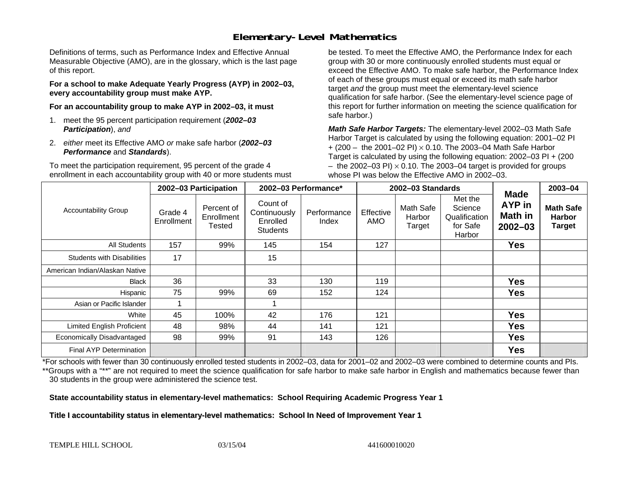# **Elementary-Level Mathematics**

Definitions of terms, such as Performance Index and Effective Annual Measurable Objective (AMO), are in the glossary, which is the last page of this report.

**For a school to make Adequate Yearly Progress (AYP) in 2002–03, every accountability group must make AYP.** 

**For an accountability group to make AYP in 2002–03, it must** 

- 1. meet the 95 percent participation requirement (*2002–03 Participation*), *and*
- 2. *either* meet its Effective AMO *or* make safe harbor (*2002–03 Performance* and *Standards*).

To meet the participation requirement, 95 percent of the grade 4 enrollment in each accountability group with 40 or more students must

be tested. To meet the Effective AMO, the Performance Index for each group with 30 or more continuously enrolled students must equal or exceed the Effective AMO. To make safe harbor, the Performance Index of each of these groups must equal or exceed its math safe harbor target *and* the group must meet the elementary-level science qualification for safe harbor. (See the elementary-level science page of this report for further information on meeting the science qualification for safe harbor.)

*Math Safe Harbor Targets:* The elementary-level 2002–03 Math Safe Harbor Target is calculated by using the following equation: 2001–02 PI + (200 – the 2001–02 PI) × 0.10. The 2003–04 Math Safe Harbor Target is calculated by using the following equation: 2002–03 PI + (200  $-$  the 2002–03 PI)  $\times$  0.10. The 2003–04 target is provided for groups whose PI was below the Effective AMO in 2002–03.

| <b>Accountability Group</b>       | 2002-03 Participation |                                    | 2002-03 Performance*                                    |                      | 2002-03 Standards |                               |                                                           |                                                        | 2003-04                                            |
|-----------------------------------|-----------------------|------------------------------------|---------------------------------------------------------|----------------------|-------------------|-------------------------------|-----------------------------------------------------------|--------------------------------------------------------|----------------------------------------------------|
|                                   | Grade 4<br>Enrollment | Percent of<br>Enrollment<br>Tested | Count of<br>Continuously<br>Enrolled<br><b>Students</b> | Performance<br>Index | Effective<br>AMO  | Math Safe<br>Harbor<br>Target | Met the<br>Science<br>Qualification<br>for Safe<br>Harbor | <b>Made</b><br><b>AYP</b> in<br>Math in<br>$2002 - 03$ | <b>Math Safe</b><br><b>Harbor</b><br><b>Target</b> |
| <b>All Students</b>               | 157                   | 99%                                | 145                                                     | 154                  | 127               |                               |                                                           | <b>Yes</b>                                             |                                                    |
| <b>Students with Disabilities</b> | 17                    |                                    | 15                                                      |                      |                   |                               |                                                           |                                                        |                                                    |
| American Indian/Alaskan Native    |                       |                                    |                                                         |                      |                   |                               |                                                           |                                                        |                                                    |
| <b>Black</b>                      | 36                    |                                    | 33                                                      | 130                  | 119               |                               |                                                           | <b>Yes</b>                                             |                                                    |
| Hispanic                          | 75                    | 99%                                | 69                                                      | 152                  | 124               |                               |                                                           | <b>Yes</b>                                             |                                                    |
| Asian or Pacific Islander         |                       |                                    |                                                         |                      |                   |                               |                                                           |                                                        |                                                    |
| White                             | 45                    | 100%                               | 42                                                      | 176                  | 121               |                               |                                                           | <b>Yes</b>                                             |                                                    |
| <b>Limited English Proficient</b> | 48                    | 98%                                | 44                                                      | 141                  | 121               |                               |                                                           | <b>Yes</b>                                             |                                                    |
| Economically Disadvantaged        | 98                    | 99%                                | 91                                                      | 143                  | 126               |                               |                                                           | <b>Yes</b>                                             |                                                    |
| <b>Final AYP Determination</b>    |                       |                                    |                                                         |                      |                   |                               |                                                           | <b>Yes</b>                                             |                                                    |

\*For schools with fewer than 30 continuously enrolled tested students in 2002–03, data for 2001–02 and 2002–03 were combined to determine counts and PIs. \*\*Groups with a "\*\*" are not required to meet the science qualification for safe harbor to make safe harbor in English and mathematics because fewer than 30 students in the group were administered the science test.

**State accountability status in elementary-level mathematics: School Requiring Academic Progress Year 1** 

Title I accountability status in elementary-level mathematics: School In Need of Improvement Year 1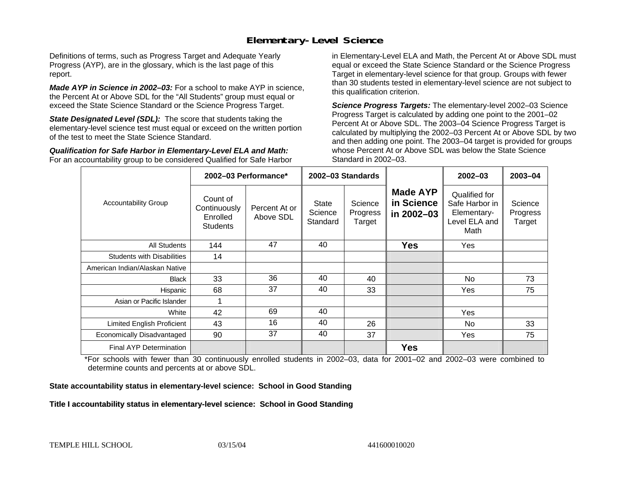## **Elementary-Level Science**

Definitions of terms, such as Progress Target and Adequate Yearly Progress (AYP), are in the glossary, which is the last page of this report.

*Made AYP in Science in 2002–03:* For a school to make AYP in science, the Percent At or Above SDL for the "All Students" group must equal or exceed the State Science Standard or the Science Progress Target.

**State Designated Level (SDL):** The score that students taking the elementary-level science test must equal or exceed on the written portion of the test to meet the State Science Standard.

*Qualification for Safe Harbor in Elementary-Level ELA and Math:* For an accountability group to be considered Qualified for Safe Harbor in Elementary-Level ELA and Math, the Percent At or Above SDL must equal or exceed the State Science Standard or the Science Progress Target in elementary-level science for that group. Groups with fewer than 30 students tested in elementary-level science are not subject to this qualification criterion.

*Science Progress Targets:* The elementary-level 2002–03 Science Progress Target is calculated by adding one point to the 2001–02 Percent At or Above SDL. The 2003–04 Science Progress Target is calculated by multiplying the 2002–03 Percent At or Above SDL by two and then adding one point. The 2003–04 target is provided for groups whose Percent At or Above SDL was below the State Science Standard in 2002–03.

|                                   |                                                         | 2002-03 Performance*       | 2002-03 Standards            |                               |                                             | $2002 - 03$                                                             | 2003-04                       |
|-----------------------------------|---------------------------------------------------------|----------------------------|------------------------------|-------------------------------|---------------------------------------------|-------------------------------------------------------------------------|-------------------------------|
| <b>Accountability Group</b>       | Count of<br>Continuously<br>Enrolled<br><b>Students</b> | Percent At or<br>Above SDL | State<br>Science<br>Standard | Science<br>Progress<br>Target | <b>Made AYP</b><br>in Science<br>in 2002-03 | Qualified for<br>Safe Harbor in<br>Elementary-<br>Level ELA and<br>Math | Science<br>Progress<br>Target |
| <b>All Students</b>               | 144                                                     | 47                         | 40                           |                               | <b>Yes</b>                                  | Yes                                                                     |                               |
| <b>Students with Disabilities</b> | 14                                                      |                            |                              |                               |                                             |                                                                         |                               |
| American Indian/Alaskan Native    |                                                         |                            |                              |                               |                                             |                                                                         |                               |
| <b>Black</b>                      | 33                                                      | 36                         | 40                           | 40                            |                                             | No.                                                                     | 73                            |
| Hispanic                          | 68                                                      | 37                         | 40                           | 33                            |                                             | Yes                                                                     | 75                            |
| Asian or Pacific Islander         |                                                         |                            |                              |                               |                                             |                                                                         |                               |
| White                             | 42                                                      | 69                         | 40                           |                               |                                             | Yes                                                                     |                               |
| Limited English Proficient        | 43                                                      | 16                         | 40                           | 26                            |                                             | No.                                                                     | 33                            |
| Economically Disadvantaged        | 90                                                      | 37                         | 40                           | 37                            |                                             | Yes                                                                     | 75                            |
| <b>Final AYP Determination</b>    |                                                         |                            |                              |                               | <b>Yes</b>                                  |                                                                         |                               |

\*For schools with fewer than 30 continuously enrolled students in 2002–03, data for 2001–02 and 2002–03 were combined to determine counts and percents at or above SDL.

#### **State accountability status in elementary-level science: School in Good Standing**

#### Title I accountability status in elementary-level science: School in Good Standing